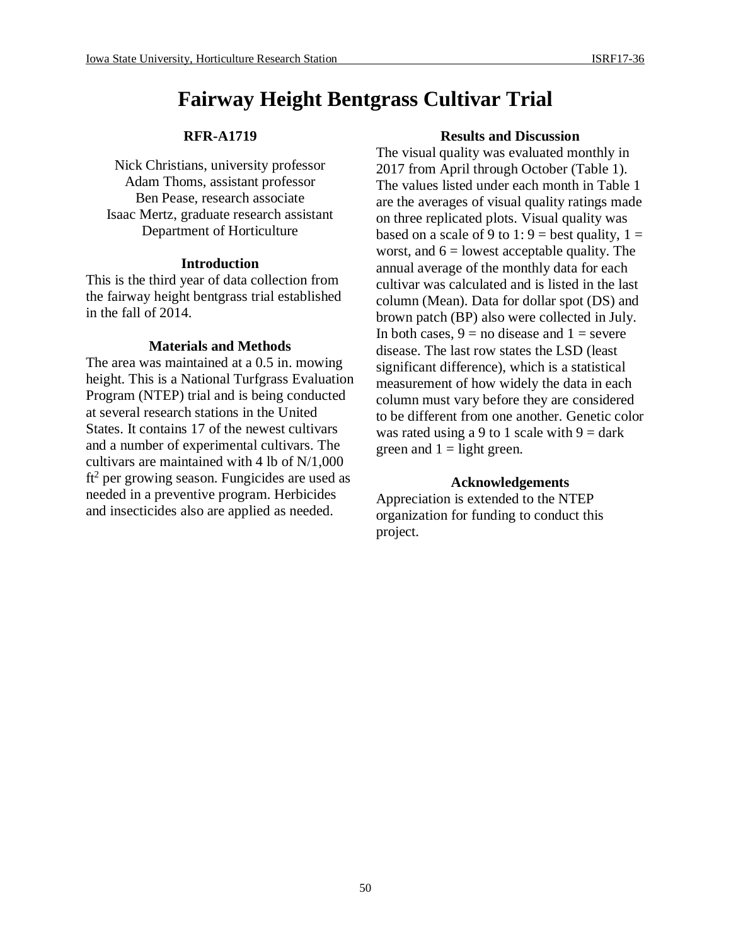# **Fairway Height Bentgrass Cultivar Trial**

# **RFR-A1719**

Nick Christians, university professor Adam Thoms, assistant professor Ben Pease, research associate Isaac Mertz, graduate research assistant Department of Horticulture

#### **Introduction**

This is the third year of data collection from the fairway height bentgrass trial established in the fall of 2014.

## **Materials and Methods**

The area was maintained at a 0.5 in. mowing height. This is a National Turfgrass Evaluation Program (NTEP) trial and is being conducted at several research stations in the United States. It contains 17 of the newest cultivars and a number of experimental cultivars. The cultivars are maintained with 4 lb of N/1,000  $ft<sup>2</sup>$  per growing season. Fungicides are used as needed in a preventive program. Herbicides and insecticides also are applied as needed.

#### **Results and Discussion**

The visual quality was evaluated monthly in 2017 from April through October (Table 1). The values listed under each month in Table 1 are the averages of visual quality ratings made on three replicated plots. Visual quality was based on a scale of 9 to 1:  $9 =$  best quality,  $1 =$ worst, and  $6 =$  lowest acceptable quality. The annual average of the monthly data for each cultivar was calculated and is listed in the last column (Mean). Data for dollar spot (DS) and brown patch (BP) also were collected in July. In both cases,  $9 =$  no disease and  $1 =$  severe disease. The last row states the LSD (least significant difference), which is a statistical measurement of how widely the data in each column must vary before they are considered to be different from one another. Genetic color was rated using a 9 to 1 scale with  $9 = \text{dark}$ green and  $1 =$  light green.

## **Acknowledgements**

Appreciation is extended to the NTEP organization for funding to conduct this project.